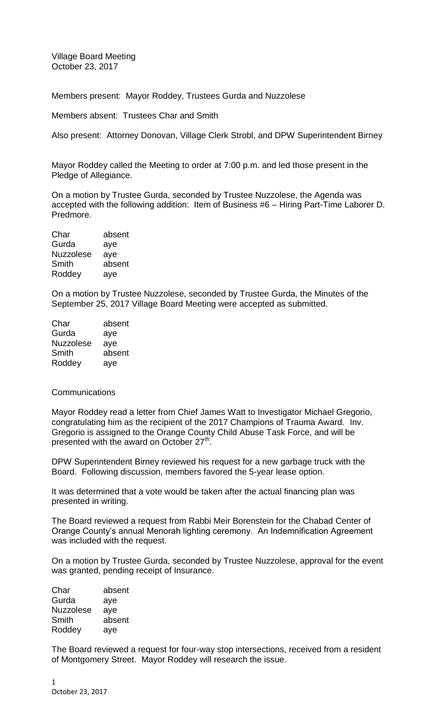Village Board Meeting October 23, 2017

Members present: Mayor Roddey, Trustees Gurda and Nuzzolese

Members absent: Trustees Char and Smith

Also present: Attorney Donovan, Village Clerk Strobl, and DPW Superintendent Birney

Mayor Roddey called the Meeting to order at 7:00 p.m. and led those present in the Pledge of Allegiance.

On a motion by Trustee Gurda, seconded by Trustee Nuzzolese, the Agenda was accepted with the following addition: Item of Business #6 – Hiring Part-Time Laborer D. Predmore.

| Char             | absent |
|------------------|--------|
| Gurda            | aye    |
| <b>Nuzzolese</b> | aye    |
| Smith            | absent |
| Roddey           | aye    |

On a motion by Trustee Nuzzolese, seconded by Trustee Gurda, the Minutes of the September 25, 2017 Village Board Meeting were accepted as submitted.

| absent |
|--------|
| aye    |
| aye    |
| absent |
| aye    |
|        |

## **Communications**

Mayor Roddey read a letter from Chief James Watt to Investigator Michael Gregorio, congratulating him as the recipient of the 2017 Champions of Trauma Award. Inv. Gregorio is assigned to the Orange County Child Abuse Task Force, and will be presented with the award on October 27<sup>th</sup>.

DPW Superintendent Birney reviewed his request for a new garbage truck with the Board. Following discussion, members favored the 5-year lease option.

It was determined that a vote would be taken after the actual financing plan was presented in writing.

The Board reviewed a request from Rabbi Meir Borenstein for the Chabad Center of Orange County's annual Menorah lighting ceremony. An Indemnification Agreement was included with the request.

On a motion by Trustee Gurda, seconded by Trustee Nuzzolese, approval for the event was granted, pending receipt of Insurance.

| Char             | absent |
|------------------|--------|
| Gurda            | aye    |
| <b>Nuzzolese</b> | aye    |
| Smith            | absent |
| Roddey           | aye    |

The Board reviewed a request for four-way stop intersections, received from a resident of Montgomery Street. Mayor Roddey will research the issue.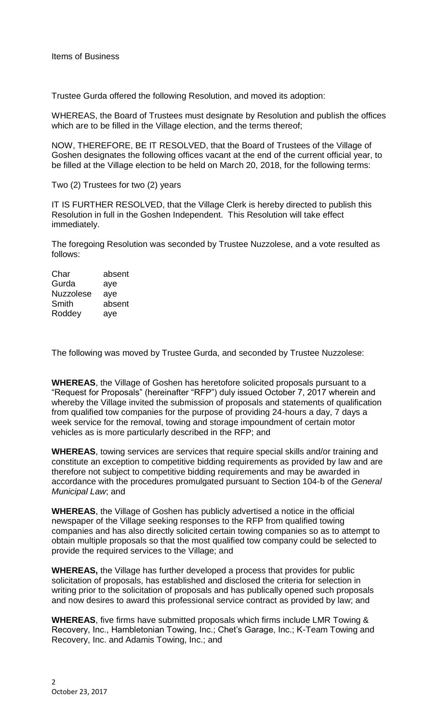Trustee Gurda offered the following Resolution, and moved its adoption:

WHEREAS, the Board of Trustees must designate by Resolution and publish the offices which are to be filled in the Village election, and the terms thereof;

NOW, THEREFORE, BE IT RESOLVED, that the Board of Trustees of the Village of Goshen designates the following offices vacant at the end of the current official year, to be filled at the Village election to be held on March 20, 2018, for the following terms:

Two (2) Trustees for two (2) years

IT IS FURTHER RESOLVED, that the Village Clerk is hereby directed to publish this Resolution in full in the Goshen Independent. This Resolution will take effect immediately.

The foregoing Resolution was seconded by Trustee Nuzzolese, and a vote resulted as follows:

Char absent Gurda aye Nuzzolese aye Smith absent Roddey aye

The following was moved by Trustee Gurda, and seconded by Trustee Nuzzolese:

**WHEREAS**, the Village of Goshen has heretofore solicited proposals pursuant to a "Request for Proposals" (hereinafter "RFP") duly issued October 7, 2017 wherein and whereby the Village invited the submission of proposals and statements of qualification from qualified tow companies for the purpose of providing 24-hours a day, 7 days a week service for the removal, towing and storage impoundment of certain motor vehicles as is more particularly described in the RFP; and

**WHEREAS**, towing services are services that require special skills and/or training and constitute an exception to competitive bidding requirements as provided by law and are therefore not subject to competitive bidding requirements and may be awarded in accordance with the procedures promulgated pursuant to Section 104-b of the *General Municipal Law*; and

**WHEREAS**, the Village of Goshen has publicly advertised a notice in the official newspaper of the Village seeking responses to the RFP from qualified towing companies and has also directly solicited certain towing companies so as to attempt to obtain multiple proposals so that the most qualified tow company could be selected to provide the required services to the Village; and

**WHEREAS,** the Village has further developed a process that provides for public solicitation of proposals, has established and disclosed the criteria for selection in writing prior to the solicitation of proposals and has publically opened such proposals and now desires to award this professional service contract as provided by law; and

**WHEREAS**, five firms have submitted proposals which firms include LMR Towing & Recovery, Inc., Hambletonian Towing, Inc.; Chet's Garage, Inc.; K-Team Towing and Recovery, Inc. and Adamis Towing, Inc.; and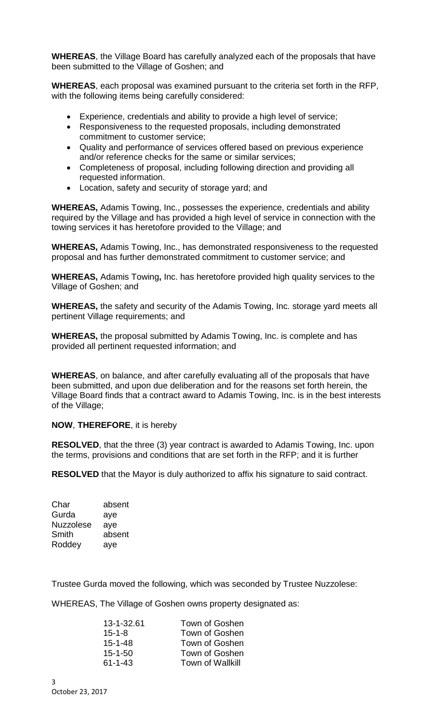**WHEREAS**, the Village Board has carefully analyzed each of the proposals that have been submitted to the Village of Goshen; and

**WHEREAS**, each proposal was examined pursuant to the criteria set forth in the RFP, with the following items being carefully considered:

- Experience, credentials and ability to provide a high level of service;
- Responsiveness to the requested proposals, including demonstrated commitment to customer service;
- Quality and performance of services offered based on previous experience and/or reference checks for the same or similar services;
- Completeness of proposal, including following direction and providing all requested information.
- Location, safety and security of storage yard; and

**WHEREAS,** Adamis Towing, Inc., possesses the experience, credentials and ability required by the Village and has provided a high level of service in connection with the towing services it has heretofore provided to the Village; and

**WHEREAS,** Adamis Towing, Inc., has demonstrated responsiveness to the requested proposal and has further demonstrated commitment to customer service; and

**WHEREAS,** Adamis Towing**,** Inc. has heretofore provided high quality services to the Village of Goshen; and

**WHEREAS,** the safety and security of the Adamis Towing, Inc. storage yard meets all pertinent Village requirements; and

**WHEREAS,** the proposal submitted by Adamis Towing, Inc. is complete and has provided all pertinent requested information; and

**WHEREAS**, on balance, and after carefully evaluating all of the proposals that have been submitted, and upon due deliberation and for the reasons set forth herein, the Village Board finds that a contract award to Adamis Towing, Inc. is in the best interests of the Village;

## **NOW**, **THEREFORE**, it is hereby

**RESOLVED**, that the three (3) year contract is awarded to Adamis Towing, Inc. upon the terms, provisions and conditions that are set forth in the RFP; and it is further

**RESOLVED** that the Mayor is duly authorized to affix his signature to said contract.

| Char             | absent |
|------------------|--------|
| Gurda            | aye    |
| <b>Nuzzolese</b> | aye    |
| Smith            | absent |
| Roddey           | aye    |

Trustee Gurda moved the following, which was seconded by Trustee Nuzzolese:

WHEREAS, The Village of Goshen owns property designated as:

| 13-1-32.61    | Town of Goshen          |
|---------------|-------------------------|
| $15 - 1 - 8$  | Town of Goshen          |
| $15 - 1 - 48$ | Town of Goshen          |
| $15 - 1 - 50$ | Town of Goshen          |
| $61 - 1 - 43$ | <b>Town of Wallkill</b> |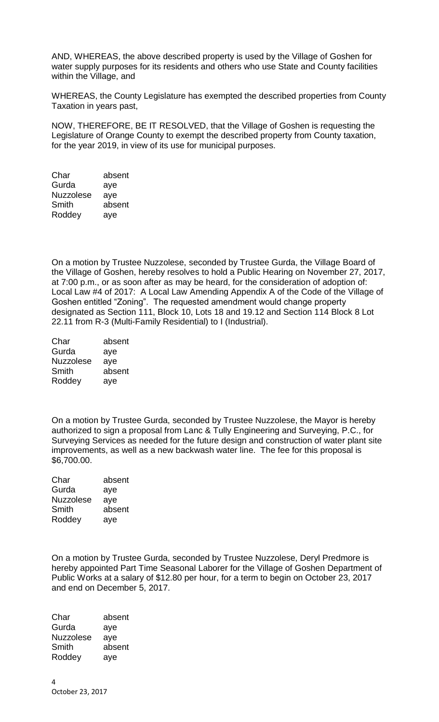AND, WHEREAS, the above described property is used by the Village of Goshen for water supply purposes for its residents and others who use State and County facilities within the Village, and

WHEREAS, the County Legislature has exempted the described properties from County Taxation in years past,

NOW, THEREFORE, BE IT RESOLVED, that the Village of Goshen is requesting the Legislature of Orange County to exempt the described property from County taxation, for the year 2019, in view of its use for municipal purposes.

Char absent Gurda aye Nuzzolese aye Smith absent Roddey aye

On a motion by Trustee Nuzzolese, seconded by Trustee Gurda, the Village Board of the Village of Goshen, hereby resolves to hold a Public Hearing on November 27, 2017, at 7:00 p.m., or as soon after as may be heard, for the consideration of adoption of: Local Law #4 of 2017: A Local Law Amending Appendix A of the Code of the Village of Goshen entitled "Zoning". The requested amendment would change property designated as Section 111, Block 10, Lots 18 and 19.12 and Section 114 Block 8 Lot 22.11 from R-3 (Multi-Family Residential) to I (Industrial).

| Char             | absent |
|------------------|--------|
| Gurda            | aye    |
| <b>Nuzzolese</b> | aye    |
| Smith            | absent |
| Roddey           | aye    |

On a motion by Trustee Gurda, seconded by Trustee Nuzzolese, the Mayor is hereby authorized to sign a proposal from Lanc & Tully Engineering and Surveying, P.C., for Surveying Services as needed for the future design and construction of water plant site improvements, as well as a new backwash water line. The fee for this proposal is \$6,700.00.

| Char             | absent |
|------------------|--------|
| Gurda            | aye    |
| <b>Nuzzolese</b> | aye    |
| Smith            | absent |
| Roddey           | aye    |

On a motion by Trustee Gurda, seconded by Trustee Nuzzolese, Deryl Predmore is hereby appointed Part Time Seasonal Laborer for the Village of Goshen Department of Public Works at a salary of \$12.80 per hour, for a term to begin on October 23, 2017 and end on December 5, 2017.

Char absent Gurda aye Nuzzolese aye Smith absent Roddey aye